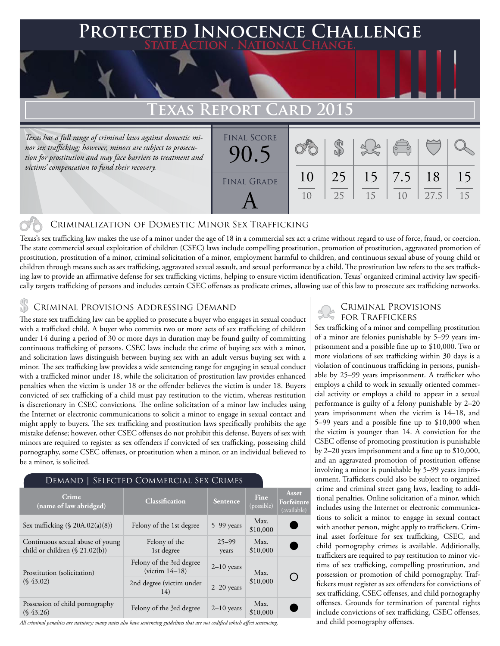### **Protected Innocence Challenge State Action . National Change.**

## **TEXAS REPORT**

*Texas has a full range of criminal laws against domestic minor sex trafficking; however, minors are subject to prosecution for prostitution and may face barriers to treatment and victims' compensation to fund their recovery.*

| TUNI UAND ZVIJ           |          |          |    |                                                |            |          |
|--------------------------|----------|----------|----|------------------------------------------------|------------|----------|
| <b>FINAL SCORE</b><br>90 |          |          |    | $\begin{pmatrix} 1 & 1 \\ 0 & 1 \end{pmatrix}$ |            |          |
| <b>FINAL GRADE</b>       | 10<br>10 | 25<br>25 | 15 | $15 \mid 7.5$<br>1 <sub>0</sub>                | 18<br>27.5 | 15<br>15 |

#### Criminalization of Domestic Minor Sex Trafficking

Texas's sex trafficking law makes the use of a minor under the age of 18 in a commercial sex act a crime without regard to use of force, fraud, or coercion. The state commercial sexual exploitation of children (CSEC) laws include compelling prostitution, promotion of prostitution, aggravated promotion of prostitution, prostitution of a minor, criminal solicitation of a minor, employment harmful to children, and continuous sexual abuse of young child or children through means such as sex trafficking, aggravated sexual assault, and sexual performance by a child. The prostitution law refers to the sex trafficking law to provide an affirmative defense for sex trafficking victims, helping to ensure victim identification. Texas' organized criminal activity law specifically targets trafficking of persons and includes certain CSEC offenses as predicate crimes, allowing use of this law to prosecute sex trafficking networks.

#### Criminal Provisions Addressing Demand

The state sex trafficking law can be applied to prosecute a buyer who engages in sexual conduct with a trafficked child. A buyer who commits two or more acts of sex trafficking of children under 14 during a period of 30 or more days in duration may be found guilty of committing continuous trafficking of persons. CSEC laws include the crime of buying sex with a minor, and solicitation laws distinguish between buying sex with an adult versus buying sex with a minor. The sex trafficking law provides a wide sentencing range for engaging in sexual conduct with a trafficked minor under 18, while the solicitation of prostitution law provides enhanced penalties when the victim is under 18 or the offender believes the victim is under 18. Buyers convicted of sex trafficking of a child must pay restitution to the victim, whereas restitution is discretionary in CSEC convictions. The online solicitation of a minor law includes using the Internet or electronic communications to solicit a minor to engage in sexual contact and might apply to buyers. The sex trafficking and prostitution laws specifically prohibits the age mistake defense; however, other CSEC offenses do not prohibit this defense. Buyers of sex with minors are required to register as sex offenders if convicted of sex trafficking, possessing child pornography, some CSEC offenses, or prostitution when a minor, or an individual believed to be a minor, is solicited.

#### Demand | Selected Commercial Sex Crimes

| Crime<br>(name of law abridged)                                       | <b>Classification</b>                        | Sentence           | <b>Fine</b><br>(possible) | Asset<br>Forfeiture<br>(available) |
|-----------------------------------------------------------------------|----------------------------------------------|--------------------|---------------------------|------------------------------------|
| Sex trafficking (§ 20A.02(a)(8))                                      | Felony of the 1st degree                     | 5–99 years         | Max.<br>\$10,000          |                                    |
| Continuous sexual abuse of young<br>child or children $(\S 21.02(b))$ | Felony of the<br>1st degree                  | $25 - 99$<br>years | Max.<br>\$10,000          |                                    |
| Prostitution (solicitation)<br>$(S\,43.02)$                           | Felony of the 3rd degree<br>$(victim 14-18)$ | $2-10$ years       | Max.                      | ( )                                |
|                                                                       | 2nd degree (victim under<br>14)              | $2-20$ years       | \$10,000                  |                                    |
| Possession of child pornography<br>$(S\,43.26)$                       | Felony of the 3rd degree                     | $2-10$ years       | Max.<br>\$10,000          |                                    |

*All criminal penalties are statutory; many states also have sentencing guidelines that are not codified which affect sentencing.* 

#### Criminal Provisions for Traffickers

Sex trafficking of a minor and compelling prostitution of a minor are felonies punishable by 5–99 years imprisonment and a possible fine up to \$10,000. Two or more violations of sex trafficking within 30 days is a violation of continuous trafficking in persons, punishable by 25–99 years imprisonment. A trafficker who employs a child to work in sexually oriented commercial activity or employs a child to appear in a sexual performance is guilty of a felony punishable by 2–20 years imprisonment when the victim is 14–18, and 5–99 years and a possible fine up to \$10,000 when the victim is younger than 14. A conviction for the CSEC offense of promoting prostitution is punishable by 2–20 years imprisonment and a fine up to \$10,000, and an aggravated promotion of prostitution offense involving a minor is punishable by 5–99 years imprisonment. Traffickers could also be subject to organized crime and criminal street gang laws, leading to additional penalties. Online solicitation of a minor, which includes using the Internet or electronic communications to solicit a minor to engage in sexual contact with another person, might apply to traffickers. Criminal asset forfeiture for sex trafficking, CSEC, and child pornography crimes is available. Additionally, traffickers are required to pay restitution to minor victims of sex trafficking, compelling prostitution, and possession or promotion of child pornography. Traffickers must register as sex offenders for convictions of sex trafficking, CSEC offenses, and child pornography offenses. Grounds for termination of parental rights include convictions of sex trafficking, CSEC offenses, and child pornography offenses.